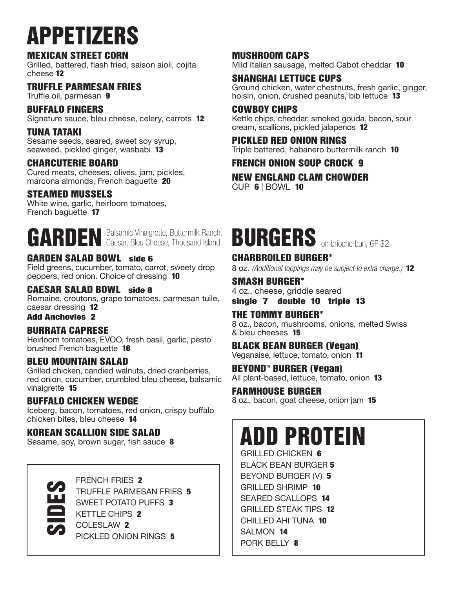# APPETIZERS

#### MEXICAN STREET CORN

Grilled, battered, flash fried, saison aioli, cojita cheese 12

#### TRUFFLE PARMESAN FRIES

Truffle oil, parmesan 9

#### BUFFALO FINGERS

Signature sauce, bleu cheese, celery, carrots 12

#### TUNA TATAKI

Sesame seeds, seared, sweet soy syrup, seaweed, pickled ginger, wasbabi 13

#### CHARCUTERIE BOARD

Cured meats, cheeses, olives, jam, pickles, marcona almonds, French baguette 20

#### STEAMED MUSSELS

White wine, garlic, heirloom tomatoes, French baguette 17

GARDEN Balsamic Vinaigrette, Buttermilk Ranch, GARDEN Caesar, Bleu Cheese, Thousand Island

#### GARDEN SALAD BOWL side 6

Field greens, cucumber, tomato, carrot, sweety drop peppers, red onion. Choice of dressing 10

#### CAESAR SALAD BOWL side 8

Romaine, croutons, grape tomatoes, parmesan tuile, caesar dressing 12

Add Anchovies 2

#### BURRATA CAPRESE

Heirloom tomatoes, EVOO, fresh basil, garlic, pesto brushed French baguette 16

#### BLEU MOUNTAIN SALAD

Grilled chicken, candied walnuts, dried cranberries, red onion, cucumber, crumbled bleu cheese, balsamic vinaigrette 15

#### BUFFALO CHICKEN WEDGE

Iceberg, bacon, tomatoes, red onion, crispy buffalo chicken bites, bleu cheese 14

#### KOREAN SCALLION SIDE SALAD

Sesame, soy, brown sugar, fish sauce 8



FRENCH FRIES 2<br>
TRUFFLE PARMES<br>
SWEET POTATO F<br>
KETTLE CHIPS 2<br>
COLESLAW 2 TRUFFLE PARMESAN FRIES 5 SWEET POTATO PUFFS 3 KETTLE CHIPS 2 COLESLAW 2 PICKLED ONION RINGS 5

### MUSHROOM CAPS

Mild Italian sausage, melted Cabot cheddar 10

#### SHANGHAI LETTUCE CUPS

Ground chicken, water chestnuts, fresh garlic, ginger, hoisin, onion, crushed peanuts, bib lettuce 13

#### COWBOY CHIPS

Kettle chips, cheddar, smoked gouda, bacon, sour cream, scallions, pickled jalapenos 12

#### PICKLED RED ONION RINGS

Triple battered, habanero buttermilk ranch 10

#### FRENCH ONION SOUP CROCK 9

NEW ENGLAND CLAM CHOWDER CUP 6 | BOWL 10

### BURGERS on brioche bun, GF \$2

#### CHARBROILED BURGER\*

8 oz. *(Additional toppings may be subject to extra charge.)* 12

#### SMASH BURGER\*

4 oz., cheese, griddle seared single 7 double 10 triple 13

#### THE TOMMY BURGER\*

8 oz., bacon, mushrooms, onions, melted Swiss & bleu cheeses 15

#### BLACK BEAN BURGER (Vegan)

Veganaise, lettuce, tomato, onion 11

BEYOND<sup>"</sup> BURGER (Vegan) All plant-based, lettuce, tomato, onion 13

#### FARMHOUSE BURGER

8 oz., bacon, goat cheese, onion jam 15

### ADD PROTEIN

GRILLED CHICKEN 6 BLACK BEAN BURGER 5 BEYOND BURGER (V) 5 GRILLED SHRIMP 10 SEARED SCALLOPS 14 GRILLED STEAK TIPS 12 CHILLED AHI TUNA 10 SALMON 14 PORK BELLY 8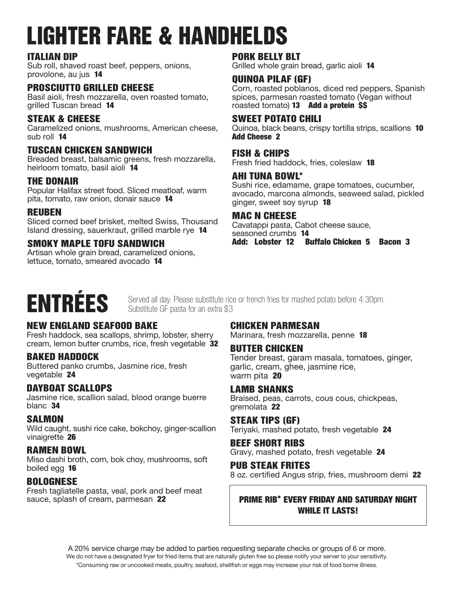# LIGHTER FARE & HANDHELDS

#### ITALIAN DIP

Sub roll, shaved roast beef, peppers, onions, provolone, au jus 14

#### PROSCIUTTO GRILLED CHEESE

Basil aioli, fresh mozzarella, oven roasted tomato, grilled Tuscan bread 14

#### STEAK & CHEESE

Caramelized onions, mushrooms, American cheese, sub roll 14

#### TUSCAN CHICKEN SANDWICH

Breaded breast, balsamic greens, fresh mozzarella, heirloom tomato, basil aioli 14

#### THE DONAIR

Popular Halifax street food. Sliced meatloaf, warm pita, tomato, raw onion, donair sauce 14

#### REUBEN

Sliced corned beef brisket, melted Swiss, Thousand Island dressing, sauerkraut, grilled marble rye 14

#### SMOKY MAPLE TOFU SANDWICH

Artisan whole grain bread, caramelized onions, lettuce, tomato, smeared avocado 14

#### PORK BELLY BLT

Grilled whole grain bread, garlic aioli 14

#### QUINOA PILAF (GF)

Corn, roasted poblanos, diced red peppers, Spanish spices, parmesan roasted tomato (Vegan without roasted tomato) 13 Add a protein \$\$

#### SWEET POTATO CHILI

Quinoa, black beans, crispy tortilla strips, scallions 10 Add Cheese 2

#### FISH & CHIPS

Fresh fried haddock, fries, coleslaw 18

#### AHI TUNA BOWL\*

Sushi rice, edamame, grape tomatoes, cucumber, avocado, marcona almonds, seaweed salad, pickled ginger, sweet soy syrup 18

#### MAC N CHEESE

Cavatappi pasta, Cabot cheese sauce, seasoned crumbs 14 Add: Lobster 12 Buffalo Chicken 5 Bacon 3

## ENTRÉES

Served all day. Please substitute rice or french fries for mashed potato before 4:30pm. Substitute GF pasta for an extra \$3

#### NEW ENGLAND SEAFOOD BAKE

Fresh haddock, sea scallops, shrimp, lobster, sherry cream, lemon butter crumbs, rice, fresh vegetable 32

#### BAKED HADDOCK

Buttered panko crumbs, Jasmine rice, fresh vegetable 24

#### DAYBOAT SCALLOPS

Jasmine rice, scallion salad, blood orange buerre blanc 34

#### **SALMON**

Wild caught, sushi rice cake, bokchoy, ginger-scallion vinaigrette 26

#### RAMEN BOWL

Miso dashi broth, corn, bok choy, mushrooms, soft boiled egg 16

#### BOLOGNESE

Fresh tagliatelle pasta, veal, pork and beef meat sauce, splash of cream, parmesan 22

#### CHICKEN PARMESAN

Marinara, fresh mozzarella, penne 18

#### BUTTER CHICKEN

Tender breast, garam masala, tomatoes, ginger, garlic, cream, ghee, jasmine rice, warm pita 20

#### LAMB SHANKS

Braised, peas, carrots, cous cous, chickpeas, gremolata 22

#### STEAK TIPS (GF)

Teriyaki, mashed potato, fresh vegetable 24

#### BEEF SHORT RIBS

Gravy, mashed potato, fresh vegetable 24

#### PUB STEAK FRITES

8 oz. certified Angus strip, fries, mushroom demi 22

#### PRIME RIB\* EVERY FRIDAY AND SATURDAY NIGHT WHILE IT LASTS!

A 20% service charge may be added to parties requesting separate checks or groups of 6 or more. We do not have a designated fryer for fried items that are naturally gluten free so please notify your server to your sensitivity. \*Consuming raw or uncooked meats, poultry, seafood, shellfish or eggs may increase your risk of food borne illness.